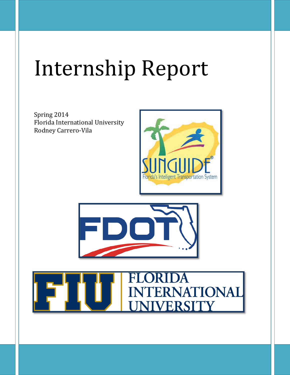## Internship Report

Spring 2014 Florida International University Rodney Carrero-Vila





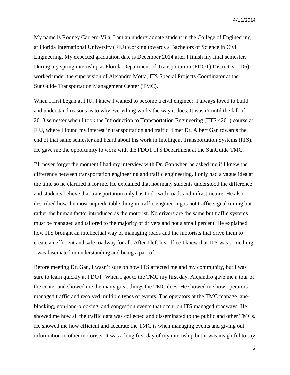My name is Rodney Carrero-Vila. I am an undergraduate student in the College of Engineering at Florida International University (FIU) working towards a Bachelors of Science in Civil Engineering. My expected graduation date is December 2014 after I finish my final semester. During my spring internship at Florida Department of Transportation (FDOT) District VI (D6), I worked under the supervision of Alejandro Motta, ITS Special Projects Coordinator at the SunGuide Transportation Management Center (TMC).

When I first began at FIU, I knew I wanted to become a civil engineer. I always loved to build and understand reasons as to why everything works the way it does. It wasn't until the fall of 2013 semester when I took the Introduction to Transportation Engineering (TTE 4201) course at FIU, where I found my interest in transportation and traffic. I met Dr. Albert Gan towards the end of that same semester and heard about his work in Intelligent Transportation Systems (ITS). He gave me the opportunity to work with the FDOT ITS Department at the SunGuide TMC.

I'll never forget the moment I had my interview with Dr. Gan when he asked me if I knew the difference between transportation engineering and traffic engineering. I only had a vague idea at the time so he clarified it for me. He explained that not many students understood the difference and students believe that transportation only has to do with roads and infrastructure. He also described how the most unpredictable thing in traffic engineering is not traffic signal timing but rather the human factor introduced as the motorist. No drivers are the same but traffic systems must be managed and tailored to the majority of drivers and not a small percent. He explained how ITS brought an intellectual way of managing roads and the motorists that drive them to create an efficient and safe roadway for all. After I left his office I knew that ITS was something I was fascinated in understanding and being a part of.

Before meeting Dr. Gan, I wasn't sure on how ITS affected me and my community, but I was sure to learn quickly at FDOT. When I got to the TMC my first day, Alejandro gave me a tour of the center and showed me the many great things the TMC does. He showed me how operators managed traffic and resolved multiple types of events. The operators at the TMC manage laneblocking, non-lane-blocking, and congestion events that occur on ITS managed roadways. He showed me how all the traffic data was collected and disseminated to the public and other TMCs. He showed me how efficient and accurate the TMC is when managing events and giving out information to other motorists. It was a long first day of my internship but it was insightful to say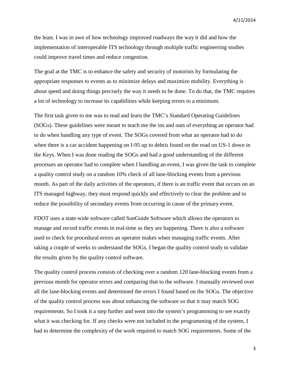the least. I was in awe of how technology improved roadways the way it did and how the implementation of interoperable ITS technology through multiple traffic engineering studies could improve travel times and reduce congestion.

The goal at the TMC is to enhance the safety and security of motorists by formulating the appropriate responses to events as to minimize delays and maximize mobility. Everything is about speed and doing things precisely the way it needs to be done. To do that, the TMC requires a lot of technology to increase its capabilities while keeping errors to a minimum.

The first task given to me was to read and learn the TMC's Standard Operating Guidelines (SOGs). These guidelines were meant to teach me the ins and outs of everything an operator had to do when handling any type of event. The SOGs covered from what an operator had to do when there is a car accident happening on I-95 up to debris found on the road on US-1 down in the Keys. When I was done reading the SOGs and had a good understanding of the different processes an operator had to complete when I handling an event, I was given the task to complete a quality control study on a random 10% check of all lane-blocking events from a previous month. As part of the daily activities of the operators, if there is an traffic event that occurs on an ITS managed highway, they must respond quickly and effectively to clear the problem and to reduce the possibility of secondary events from occurring in cause of the primary event.

FDOT uses a state-wide software called SunGuide Software which allows the operators to manage and record traffic events in real-time as they are happening. There is also a software used to check for procedural errors an operator makes when managing traffic events. After taking a couple of weeks to understand the SOGs, I began the quality control study to validate the results given by the quality control software.

The quality control process consists of checking over a random 120 lane-blocking events from a previous month for operator errors and comparing that to the software. I manually reviewed over all the lane-blocking events and determined the errors I found based on the SOGs. The objective of the quality control process was about enhancing the software so that it may match SOG requirements. So I took it a step further and went into the system's programming to see exactly what it was checking for. If any checks were not included in the programming of the system, I had to determine the complexity of the work required to match SOG requirements. Some of the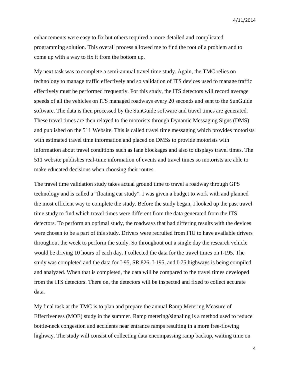enhancements were easy to fix but others required a more detailed and complicated programming solution. This overall process allowed me to find the root of a problem and to come up with a way to fix it from the bottom up.

My next task was to complete a semi-annual travel time study. Again, the TMC relies on technology to manage traffic effectively and so validation of ITS devices used to manage traffic effectively must be performed frequently. For this study, the ITS detectors will record average speeds of all the vehicles on ITS managed roadways every 20 seconds and sent to the SunGuide software. The data is then processed by the SunGuide software and travel times are generated. These travel times are then relayed to the motorists through Dynamic Messaging Signs (DMS) and published on the 511 Website. This is called travel time messaging which provides motorists with estimated travel time information and placed on DMSs to provide motorists with information about travel conditions such as lane blockages and also to displays travel times. The 511 website publishes real-time information of events and travel times so motorists are able to make educated decisions when choosing their routes.

The travel time validation study takes actual ground time to travel a roadway through GPS technology and is called a "floating car study". I was given a budget to work with and planned the most efficient way to complete the study. Before the study began, I looked up the past travel time study to find which travel times were different from the data generated from the ITS detectors. To perform an optimal study, the roadways that had differing results with the devices were chosen to be a part of this study. Drivers were recruited from FIU to have available drivers throughout the week to perform the study. So throughout out a single day the research vehicle would be driving 10 hours of each day. I collected the data for the travel times on I-195. The study was completed and the data for I-95, SR 826, I-195, and I-75 highways is being compiled and analyzed. When that is completed, the data will be compared to the travel times developed from the ITS detectors. There on, the detectors will be inspected and fixed to collect accurate data.

My final task at the TMC is to plan and prepare the annual Ramp Metering Measure of Effectiveness (MOE) study in the summer. Ramp metering/signaling is a method used to reduce bottle-neck congestion and accidents near entrance ramps resulting in a more free-flowing highway. The study will consist of collecting data encompassing ramp backup, waiting time on